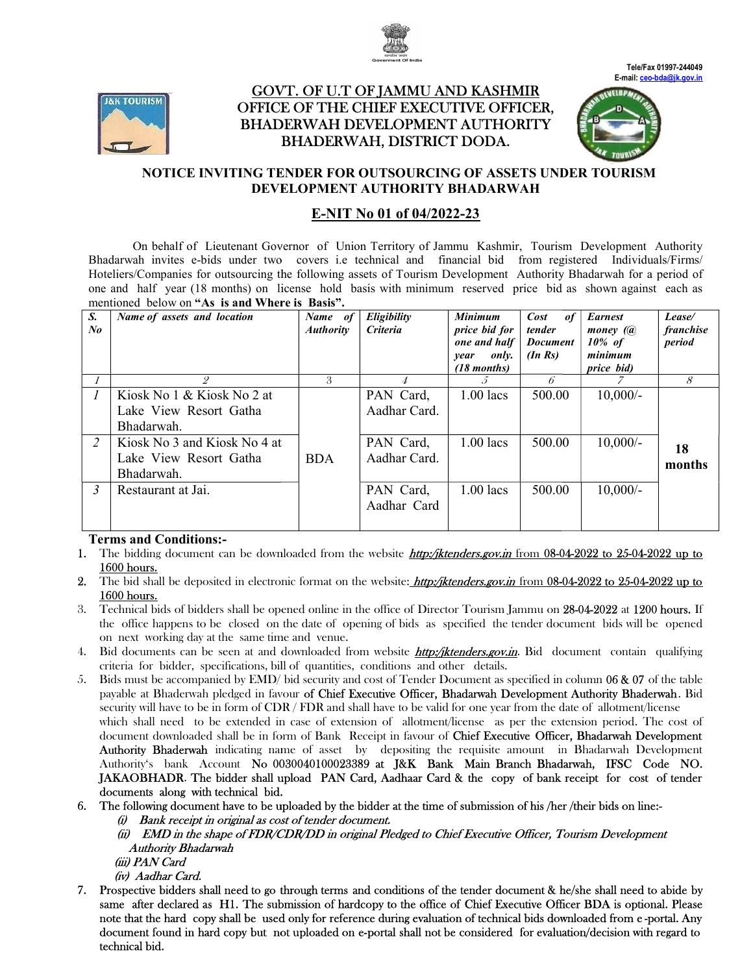



# <u>GOVT. OF U.T OF JAMMU AND KASHMIR</u> OFFICE OF THE CHIEF EXECUTIVE OFFICER, OFFICER, BHADERWAH DEVELOPMENT AUTHORITY BHADERWAH, DISTRICT DODA.





## NOTICE INVITING TENDER FOR OUTSOURCING OF ASSETS UNDER TOURISM DEVELOPMENT AUTHORITY BHADARWAH

## E-NIT No 01 of 04/2022-23

On behalf of Lieutenant Governor of Union Territory of Jammu Kashmir, Tourism Tourism Development Authority Bhadarwah invites e-bids under two covers i.e technical and financial bid from registered Individuals/Firms/ Hoteliers/Companies for outsourcing the following assets of Tourism Development Authority Bhadarwah for a period of one and half year (18 months) on license hold basis with minimum reserved price bid as shown against each as mentioned below on "As is and Where is Basis".

| S.<br>$N_{0}$ | Name of assets and location                                                                                                                | Name of<br><b>Authority</b> | Eligibility<br><b>Criteria</b>                         | <b>Minimum</b><br>price bid for<br>one and half<br>only.<br>year<br>$(18$ months) | Cost<br><i>of</i><br>tender<br><b>Document</b><br>$(In\, Rs)$ | <b>Earnest</b><br>money (a)<br>$10\%$ of<br>minimum<br>price bid) | Lease/<br>franchise<br>period |
|---------------|--------------------------------------------------------------------------------------------------------------------------------------------|-----------------------------|--------------------------------------------------------|-----------------------------------------------------------------------------------|---------------------------------------------------------------|-------------------------------------------------------------------|-------------------------------|
|               | 2                                                                                                                                          | 3                           |                                                        | 5.                                                                                | 6                                                             |                                                                   | 8                             |
| 2             | Kiosk No 1 & Kiosk No 2 at<br>Lake View Resort Gatha<br>Bhadarwah.<br>Kiosk No 3 and Kiosk No 4 at<br>Lake View Resort Gatha<br>Bhadarwah. | <b>BDA</b>                  | PAN Card,<br>Aadhar Card.<br>PAN Card,<br>Aadhar Card. | $1.00$ lacs<br>$1.00$ lacs                                                        | 500.00<br>500.00                                              | $10,000/-$<br>$10,000/-$                                          | 18<br>months                  |
| $\mathbf{3}$  | Restaurant at Jai.                                                                                                                         |                             | PAN Card,<br>Aadhar Card                               | $1.00$ lacs                                                                       | 500.00                                                        | $10,000/-$                                                        |                               |

## Terms and Conditions:-

- 1. The bidding document can be downloaded from the website *http://iktenders.gov.in* from 08-04-2022 to 25-04-2022 up to 1600 hours.
- 2. The bid shall be deposited in electronic format on the website: *http:/jktenders.gov.in* from 08-04-2022 to 25-04-2022 up to 1600 hours.
- 3. Technical bids of bidders shall be opened online in the office of Director Tourism Jammu on 28-04-2022 at 1200 hours. If the office happens to be closed on the date of opening of bids as specified the tender document bids will be opened on next working day at the same time and venue. the office happens to be closed on the date of opening of bids as specified the tender document bids will be opened<br>on next working day at the same time and venue.<br>4. Bid documents can be seen at and downloaded from websit
- criteria for bidder, specifications, bill of quantities, conditions and other details. 4. Bid documents can be seen at and downloaded from website **http://iktenders.gov.in**. Bid document contain qualifying criteria for bidder, specifications, bill of quantities, conditions and other details.<br>5. Bids must be
- payable at Bhaderwah pledged in favour of Chief Executive Officer, Bhadarwah Development Authority Bhaderwah. Bid security will have to be in form of  $CDR$  /  $FDR$  and shall have to be valid for one year from the date of allotment/license security will have to be in form of CDR / FDR and shall have to be valid for one year from the date of allotment/license<br>which shall need to be extended in case of extension of allotment/license as per the extension period which shall need to be extended in case of extension of allotment/license as per the extension period. The cost of<br>document downloaded shall be in form of Bank Receipt in favour of **Chief Executive Officer, Bhadarwah Devel** Authority Bhaderwah indicating name of asset by depositing the requisite amount in Bhadarwah Development Authority's bank Account No 0030040100023389 at J&K Bank Main Branch Bhadarwah, IFSC Code NO. JAKAOBHADR. The bidder shall upload PAN Card, Aadhaar Card & the copy of bank receipt for cost of tender documents along with technical bid. depositing the requisite amount in Bhadarwah Development<br> **t J&K Bank Main Branch Bhadarwah, IFSC Code NO.**<br> **Aadhaar Card & the copy of bank receipt for cost of tender**<br>
er at the time of submission of his /her /their bid
- 6. The following document have to be uploaded by the bidder at the time of submission of his /her /their bids on line:
	- (i) Bank receipt in original as cost of tender document.
	- (ii) EMD in the shape of FDR/CDR/DD in original Pledged to Chief Executive Officer, Tourism Development Authority Bhadarwah
		- (iii) PAN Card
		- (iv) Aadhar Card.
- 7. Prospective bidders shall need to go through terms and conditions of the tender document & he/she shall need to abide by same after declared as H1. The submission of hardcopy to the office of Chief Executive Officer BDA is optional. Please note that the hard copy shall be used only for reference during evaluation of technical bids downloaded from e-portal. Any note that the hard copy shall be used only for reference during evaluation of technical bids downloaded from e-portal. Any<br>document found in hard copy but not uploaded on e-portal shall not be considered for evaluation/dec technical bid.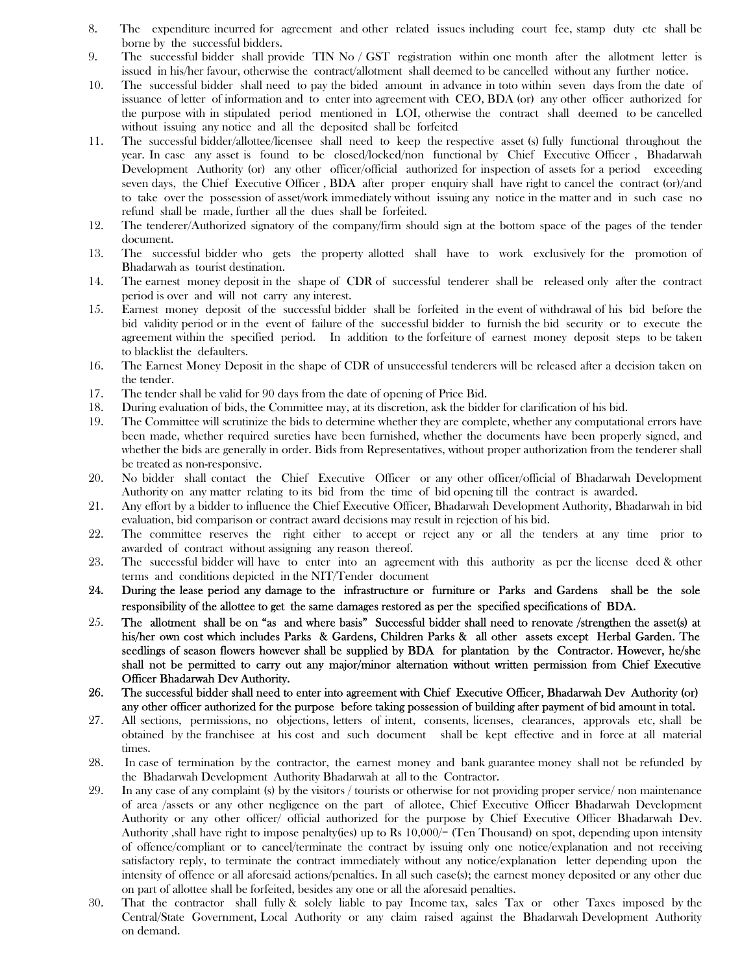- 8. The expenditure incurred for agreement and other related issues including court fee, stamp duty etc shall be borne by the successful bidders.
- 9. The successful bidder shall provide TIN No / GST registration within one month after the allotment letter is issued in his/her favour, otherwise the contract/allotment shall deemed to be cancelled without any further notice.
- 10. The successful bidder shall need to pay the bided amount in advance in toto within seven days from the date of issuance of letter of information and to enter into agreement with CEO, BDA (or) any other officer authorized for the purpose with in stipulated period mentioned in LOI, otherwise the contract shall deemed to be cancelled without issuing any notice and all the deposited shall be forfeited
- 11. The successful bidder/allottee/licensee shall need to keep the respective asset (s) fully functional throughout the year. In case any asset is found to be closed/locked/non functional by Chief Executive Officer , Bhadarwah Development Authority (or) any other officer/official authorized for inspection of assets for a period exceeding seven days, the Chief Executive Officer , BDA after proper enquiry shall have right to cancel the contract (or)/and to take over the possession of asset/work immediately without issuing any notice in the matter and in such case no refund shall be made, further all the dues shall be forfeited.
- 12. The tenderer/Authorized signatory of the company/firm should sign at the bottom space of the pages of the tender document.
- 13. The successful bidder who gets the property allotted shall have to work exclusively for the promotion of Bhadarwah as tourist destination.
- 14. The earnest money deposit in the shape of CDR of successful tenderer shall be released only after the contract period is over and will not carry any interest.
- 15. Earnest money deposit of the successful bidder shall be forfeited in the event of withdrawal of his bid before the bid validity period or in the event of failure of the successful bidder to furnish the bid security or to execute the agreement within the specified period. In addition to the forfeiture of earnest money deposit steps to be taken to blacklist the defaulters.
- 16. The Earnest Money Deposit in the shape of CDR of unsuccessful tenderers will be released after a decision taken on the tender.
- 17. The tender shall be valid for 90 days from the date of opening of Price Bid.
- 18. During evaluation of bids, the Committee may, at its discretion, ask the bidder for clarification of his bid.
- 19. The Committee will scrutinize the bids to determine whether they are complete, whether any computational errors have been made, whether required sureties have been furnished, whether the documents have been properly signed, and whether the bids are generally in order. Bids from Representatives, without proper authorization from the tenderer shall be treated as non-responsive.
- 20. No bidder shall contact the Chief Executive Officer or any other officer/official of Bhadarwah Development Authority on any matter relating to its bid from the time of bid opening till the contract is awarded.
- 21. Any effort by a bidder to influence the Chief Executive Officer, Bhadarwah Development Authority, Bhadarwah in bid evaluation, bid comparison or contract award decisions may result in rejection of his bid.
- 22. The committee reserves the right either to accept or reject any or all the tenders at any time prior to awarded of contract without assigning any reason thereof.
- 23. The successful bidder will have to enter into an agreement with this authority as per the license deed & other terms and conditions depicted in the NIT/Tender document
- 24. During the lease period any damage to the infrastructure or furniture or Parks and Gardens shall be the sole responsibility of the allottee to get the same damages restored as per the specified specifications of BDA.
- 25. The allotment shall be on "as and where basis" Successful bidder shall need to renovate /strengthen the asset(s) at his/her own cost which includes Parks & Gardens, Children Parks & all other assets except Herbal Garden. The seedlings of season flowers however shall be supplied by BDA for plantation by the Contractor. However, he/she shall not be permitted to carry out any major/minor alternation without written permission from Chief Executive Officer Bhadarwah Dev Authority.
- 26. The successful bidder shall need to enter into agreement with Chief Executive Officer, Bhadarwah Dev Authority (or) any other officer authorized for the purpose before taking possession of building after payment of bid amount in total.
- 27. All sections, permissions, no objections, letters of intent, consents, licenses, clearances, approvals etc, shall be obtained by the franchisee at his cost and such document shall be kept effective and in force at all material times.
- 28. In case of termination by the contractor, the earnest money and bank guarantee money shall not be refunded by the Bhadarwah Development Authority Bhadarwah at all to the Contractor.
- 29. In any case of any complaint (s) by the visitors / tourists or otherwise for not providing proper service/ non maintenance of area /assets or any other negligence on the part of allotee, Chief Executive Officer Bhadarwah Development Authority or any other officer/ official authorized for the purpose by Chief Executive Officer Bhadarwah Dev. Authority ,shall have right to impose penalty(ies) up to Rs 10,000/= (Ten Thousand) on spot, depending upon intensity of offence/compliant or to cancel/terminate the contract by issuing only one notice/explanation and not receiving satisfactory reply, to terminate the contract immediately without any notice/explanation letter depending upon the intensity of offence or all aforesaid actions/penalties. In all such case(s); the earnest money deposited or any other due on part of allottee shall be forfeited, besides any one or all the aforesaid penalties.
- 30. That the contractor shall fully & solely liable to pay Income tax, sales Tax or other Taxes imposed by the Central/State Government, Local Authority or any claim raised against the Bhadarwah Development Authority on demand.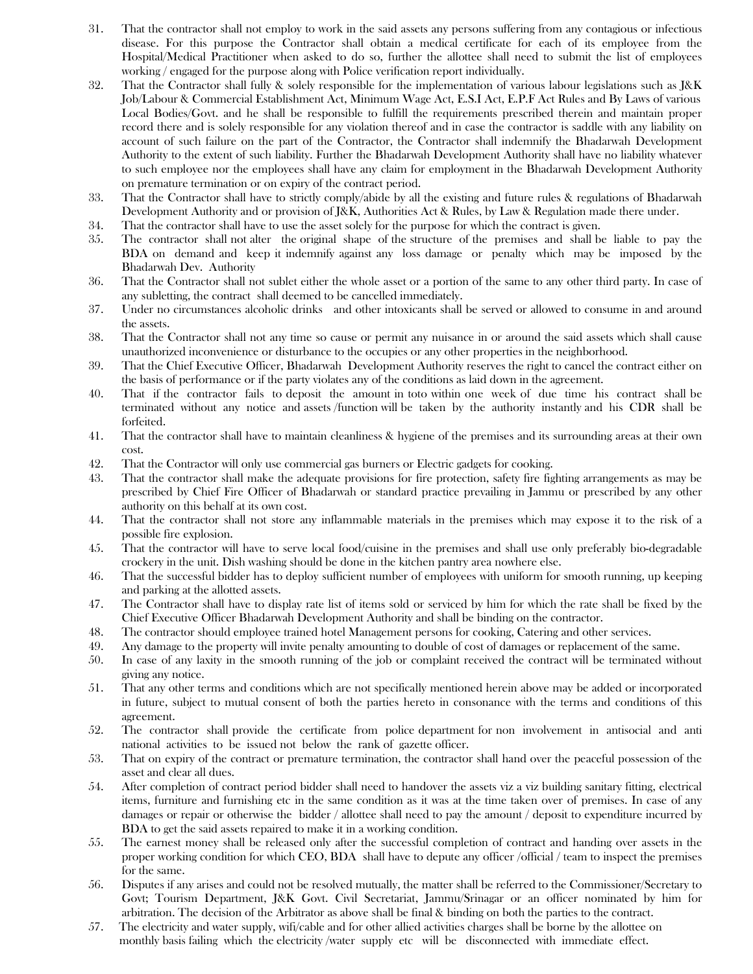- 31. That the contractor shall not employ to work in the said assets any persons suffering from any contagious or infectious disease. For this purpose the Contractor shall obtain a medical certificate for each of its employee from the Hospital/Medical Practitioner when asked to do so, further the allottee shall need to submit the list of employees working / engaged for the purpose along with Police verification report individually.
- 32. That the Contractor shall fully & solely responsible for the implementation of various labour legislations such as J&K Job/Labour & Commercial Establishment Act, Minimum Wage Act, E.S.I Act, E.P.F Act Rules and By Laws of various Local Bodies/Govt. and he shall be responsible to fulfill the requirements prescribed therein and maintain proper record there and is solely responsible for any violation thereof and in case the contractor is saddle with any liability on account of such failure on the part of the Contractor, the Contractor shall indemnify the Bhadarwah Development Authority to the extent of such liability. Further the Bhadarwah Development Authority shall have no liability whatever to such employee nor the employees shall have any claim for employment in the Bhadarwah Development Authority on premature termination or on expiry of the contract period.
- 33. That the Contractor shall have to strictly comply/abide by all the existing and future rules & regulations of Bhadarwah Development Authority and or provision of J&K, Authorities Act & Rules, by Law & Regulation made there under.
- 34. That the contractor shall have to use the asset solely for the purpose for which the contract is given.
- 35. The contractor shall not alter the original shape of the structure of the premises and shall be liable to pay the BDA on demand and keep it indemnify against any loss damage or penalty which may be imposed by the Bhadarwah Dev. Authority
- 36. That the Contractor shall not sublet either the whole asset or a portion of the same to any other third party. In case of any subletting, the contract shall deemed to be cancelled immediately.
- 37. Under no circumstances alcoholic drinks and other intoxicants shall be served or allowed to consume in and around the assets.
- 38. That the Contractor shall not any time so cause or permit any nuisance in or around the said assets which shall cause unauthorized inconvenience or disturbance to the occupies or any other properties in the neighborhood.
- 39. That the Chief Executive Officer, Bhadarwah Development Authority reserves the right to cancel the contract either on the basis of performance or if the party violates any of the conditions as laid down in the agreement.
- 40. That if the contractor fails to deposit the amount in toto within one week of due time his contract shall be terminated without any notice and assets /function will be taken by the authority instantly and his CDR shall be forfeited.
- 41. That the contractor shall have to maintain cleanliness & hygiene of the premises and its surrounding areas at their own cost.
- 42. That the Contractor will only use commercial gas burners or Electric gadgets for cooking.
- 43. That the contractor shall make the adequate provisions for fire protection, safety fire fighting arrangements as may be prescribed by Chief Fire Officer of Bhadarwah or standard practice prevailing in Jammu or prescribed by any other authority on this behalf at its own cost.
- 44. That the contractor shall not store any inflammable materials in the premises which may expose it to the risk of a possible fire explosion.
- 45. That the contractor will have to serve local food/cuisine in the premises and shall use only preferably bio-degradable crockery in the unit. Dish washing should be done in the kitchen pantry area nowhere else.
- 46. That the successful bidder has to deploy sufficient number of employees with uniform for smooth running, up keeping and parking at the allotted assets.
- 47. The Contractor shall have to display rate list of items sold or serviced by him for which the rate shall be fixed by the Chief Executive Officer Bhadarwah Development Authority and shall be binding on the contractor.
- 48. The contractor should employee trained hotel Management persons for cooking, Catering and other services.
- 49. Any damage to the property will invite penalty amounting to double of cost of damages or replacement of the same.
- 50. In case of any laxity in the smooth running of the job or complaint received the contract will be terminated without giving any notice.
- 51. That any other terms and conditions which are not specifically mentioned herein above may be added or incorporated in future, subject to mutual consent of both the parties hereto in consonance with the terms and conditions of this agreement.
- 52. The contractor shall provide the certificate from police department for non involvement in antisocial and anti national activities to be issued not below the rank of gazette officer.
- 53. That on expiry of the contract or premature termination, the contractor shall hand over the peaceful possession of the asset and clear all dues.
- 54. After completion of contract period bidder shall need to handover the assets viz a viz building sanitary fitting, electrical items, furniture and furnishing etc in the same condition as it was at the time taken over of premises. In case of any damages or repair or otherwise the bidder / allottee shall need to pay the amount / deposit to expenditure incurred by BDA to get the said assets repaired to make it in a working condition.
- 55. The earnest money shall be released only after the successful completion of contract and handing over assets in the proper working condition for which CEO, BDA shall have to depute any officer /official / team to inspect the premises for the same.
- 56. Disputes if any arises and could not be resolved mutually, the matter shall be referred to the Commissioner/Secretary to Govt; Tourism Department, J&K Govt. Civil Secretariat, Jammu/Srinagar or an officer nominated by him for arbitration. The decision of the Arbitrator as above shall be final & binding on both the parties to the contract.
- 57. The electricity and water supply, wifi/cable and for other allied activities charges shall be borne by the allottee on monthly basis failing which the electricity /water supply etc will be disconnected with immediate effect.